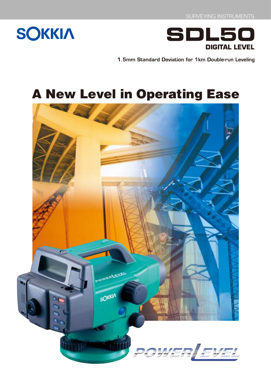



1.5mm Standard Deviation for 1km Double-run Leveling

# **A New Level in Operating Ease**

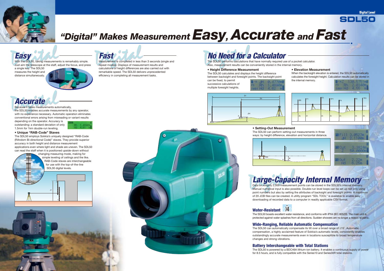# **Easy**

With the SDL50, taking measurements is remarkably simple. Just aim the telescope at the staff, adjust the focus, and press

a single key. The SDL50 measures the height and distance simultaneously.



# **Fast**

Measurement is completed in less than 3 seconds (single and repeat modes). Displays of measurement results and calculations of height differences are also carried out with remarkable speed. The SDL50 delivers unprecedented efficiency in completing all measurement tasks.

### **• Height Difference Measurement**

The SDL50 calculates and displays the height difference between backsight and foresight points. The backsight point

can be fixed, to permit successive calculations of multiple foresight heights.



# **No Need for a Calculator**

The SDL50 performs calculations that have normally required use of a pocket calculator. Also, measurement results can be conveniently stored in the internal memory.

## **Large-Capacity Internal Memory** Data on roughly 2,000 measurement points can be stored in the SDL50's internal memory.

The SDL50 can automatically compensate its tilt over a broad range of  $\pm 15'$ . Automatic compensation, a highly acclaimed feature of Sokkia's automatic levels, consistently enables outstandingly accurate measurements even in locations susceptible to broad temperature changes and strong vibrations.

Manual numerical input is also possible. Double-run level loops can be set up not only using point numbers but also by setting the attributes of backsight and foresight points. A maximum of 20 JOB files can be created. A utility program "SDL TOOL" is available to enable easy downloading of recorded data to a computer in readily applicable CSV format.



The SDL50 boasts excellent water resistance, and conforms with IPX4 (IEC 60529). The main unit is protected against water splashes from all directions. Sudden showers are no longer a reason to panic.

## **Wide-Ranging, Reliable Automatic Compensation**

## **Battery Interchangeable with Total Stations**

The SDL50 is powered by a BDC46A lithium-ion battery. It enables a continuous supply of power for 8.5 hours, and is fully compatible with the Series10 and Series30R total stations.

# **SDL50**

**Digital Level** 



# *"Digital" Makes MeasurementEasy, Accurate and Fast*

**• Elevation Measurement**

When the backsight elevation is entered, the SDL50 automatically calculates the foresight height. Calculation results can be stored in the internal memory.

### **• Setting-Out Measurement** The SDL50 can perform setting-out measurements in three ways: by height difference, elevation and horizontal distance.



# **Accurate**

Because it takes measurements automatically, the SDL50 enables accurate measurements by any operator, with no experience necessary. Automatic operation eliminates conventional errors arising from misreading or variant results

depending on the operator. Accuracy is outstanding: a standard deviation of only 1.5mm for 1km double-run leveling.

# **• Unique "RAB-Code" Staves**

The SDL50 employs Sokkia's uniquely designed "RAB-Code (RAndom Bi-directional Code)" staves. They provide superior accuracy in both height and distance measurement applications even where light and shade are uneven. The SDL50 can read the staff when it is positioned upside-down without